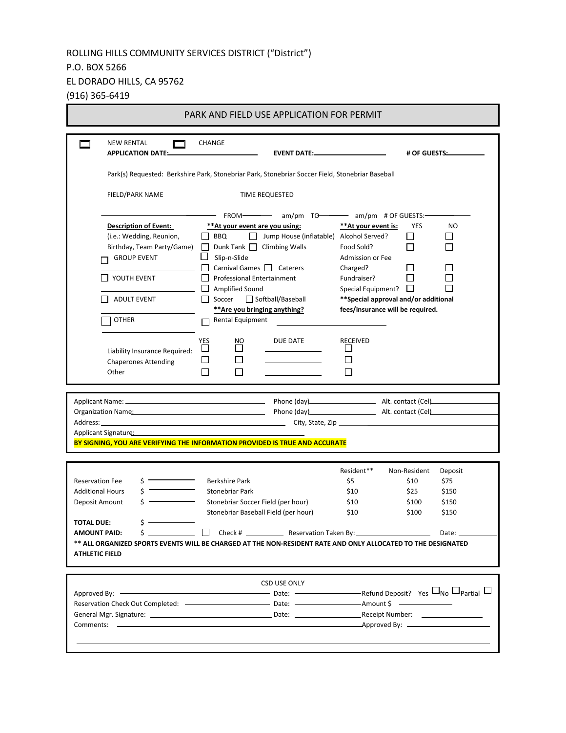# ROLLING HILLS COMMUNITY SERVICES DISTRICT ("District")

### P.O. BOX 5266

EL DORADO HILLS, CA 95762

(916) 365-6419

| <b>NEW RENTAL</b><br><b>APPLICATION DATE:</b><br>FIELD/PARK NAME<br><b>Description of Event:</b><br>(i.e.: Wedding, Reunion,<br>Birthday, Team Party/Game) | <b>CHANGE</b><br><b>EVENT DATE:</b><br>Park(s) Requested: Berkshire Park, Stonebriar Park, Stonebriar Soccer Field, Stonebriar Baseball<br>TIME REQUESTED<br>FROM- am/pm TO- am/pm # OF GUESTS:-                                                                                                                                                                                                  |                                                                                                                                                                                                        | # OF GUESTS:               |
|------------------------------------------------------------------------------------------------------------------------------------------------------------|---------------------------------------------------------------------------------------------------------------------------------------------------------------------------------------------------------------------------------------------------------------------------------------------------------------------------------------------------------------------------------------------------|--------------------------------------------------------------------------------------------------------------------------------------------------------------------------------------------------------|----------------------------|
|                                                                                                                                                            |                                                                                                                                                                                                                                                                                                                                                                                                   |                                                                                                                                                                                                        |                            |
|                                                                                                                                                            |                                                                                                                                                                                                                                                                                                                                                                                                   |                                                                                                                                                                                                        |                            |
|                                                                                                                                                            |                                                                                                                                                                                                                                                                                                                                                                                                   |                                                                                                                                                                                                        |                            |
|                                                                                                                                                            |                                                                                                                                                                                                                                                                                                                                                                                                   |                                                                                                                                                                                                        |                            |
| <b>GROUP EVENT</b><br>YOUTH EVENT<br><b>ADULT EVENT</b><br><b>OTHER</b><br>Liability Insurance Required:<br><b>Chaperones Attending</b><br>Other           | **At your event are you using:<br>Jump House (inflatable) Alcohol Served?<br>  BBQ<br>$\mathbf{1}$<br>$\Box$ Dunk Tank $\Box$ Climbing Walls<br>Slip-n-Slide<br>ப<br>Carnival Games   Caterers<br>Professional Entertainment<br>Amplified Sound<br>Softball/Baseball<br>Soccer<br>** Are you bringing anything?<br>Rental Equipment<br>YES<br>DUE DATE<br>NO.<br>$\mathsf{I}$<br>ப<br>$\Box$<br>ப | **At your event is:<br>Food Sold?<br>Admission or Fee<br>Charged?<br>Fundraiser?<br>Special Equipment?<br>** Special approval and/or additional<br>fees/insurance will be required.<br><b>RECEIVED</b> | YES<br>NO<br>l 1<br>П<br>П |
|                                                                                                                                                            |                                                                                                                                                                                                                                                                                                                                                                                                   |                                                                                                                                                                                                        |                            |
| Organization Name: Manual Manual Manual Manual Manual Manual Manual Manual Manual Manual Manual Manual Manual                                              |                                                                                                                                                                                                                                                                                                                                                                                                   |                                                                                                                                                                                                        |                            |
| Applicant Signature: Management of the Applicant Signature:                                                                                                | BY SIGNING, YOU ARE VERIFYING THE INFORMATION PROVIDED IS TRUE AND ACCURATE                                                                                                                                                                                                                                                                                                                       |                                                                                                                                                                                                        |                            |
|                                                                                                                                                            |                                                                                                                                                                                                                                                                                                                                                                                                   | Resident**                                                                                                                                                                                             | Non-Resident<br>Deposit    |
| <b>Reservation Fee</b>                                                                                                                                     | Berkshire Park                                                                                                                                                                                                                                                                                                                                                                                    | \$5                                                                                                                                                                                                    | \$75<br>\$10               |
| <b>Additional Hours</b>                                                                                                                                    | Stonebriar Park                                                                                                                                                                                                                                                                                                                                                                                   | \$10                                                                                                                                                                                                   | \$25<br>\$150              |
| Deposit Amount                                                                                                                                             | Stonebriar Soccer Field (per hour)                                                                                                                                                                                                                                                                                                                                                                | \$10                                                                                                                                                                                                   | \$100<br>\$150             |
|                                                                                                                                                            | Stonebriar Baseball Field (per hour)                                                                                                                                                                                                                                                                                                                                                              | \$10                                                                                                                                                                                                   | \$100<br>\$150             |
| ς.<br><b>TOTAL DUE:</b>                                                                                                                                    |                                                                                                                                                                                                                                                                                                                                                                                                   |                                                                                                                                                                                                        |                            |
| <b>AMOUNT PAID:</b>                                                                                                                                        |                                                                                                                                                                                                                                                                                                                                                                                                   |                                                                                                                                                                                                        |                            |
|                                                                                                                                                            | ** ALL ORGANIZED SPORTS EVENTS WILL BE CHARGED AT THE NON-RESIDENT RATE AND ONLY ALLOCATED TO THE DESIGNATED                                                                                                                                                                                                                                                                                      |                                                                                                                                                                                                        |                            |
| <b>ATHLETIC FIELD</b>                                                                                                                                      |                                                                                                                                                                                                                                                                                                                                                                                                   |                                                                                                                                                                                                        |                            |
|                                                                                                                                                            |                                                                                                                                                                                                                                                                                                                                                                                                   |                                                                                                                                                                                                        |                            |
|                                                                                                                                                            |                                                                                                                                                                                                                                                                                                                                                                                                   |                                                                                                                                                                                                        |                            |
|                                                                                                                                                            | CSD USE ONLY                                                                                                                                                                                                                                                                                                                                                                                      |                                                                                                                                                                                                        |                            |
|                                                                                                                                                            |                                                                                                                                                                                                                                                                                                                                                                                                   |                                                                                                                                                                                                        |                            |
|                                                                                                                                                            | Approved By: $\Box$ Partial $\Box$                                                                                                                                                                                                                                                                                                                                                                |                                                                                                                                                                                                        |                            |
|                                                                                                                                                            |                                                                                                                                                                                                                                                                                                                                                                                                   |                                                                                                                                                                                                        |                            |
|                                                                                                                                                            |                                                                                                                                                                                                                                                                                                                                                                                                   |                                                                                                                                                                                                        |                            |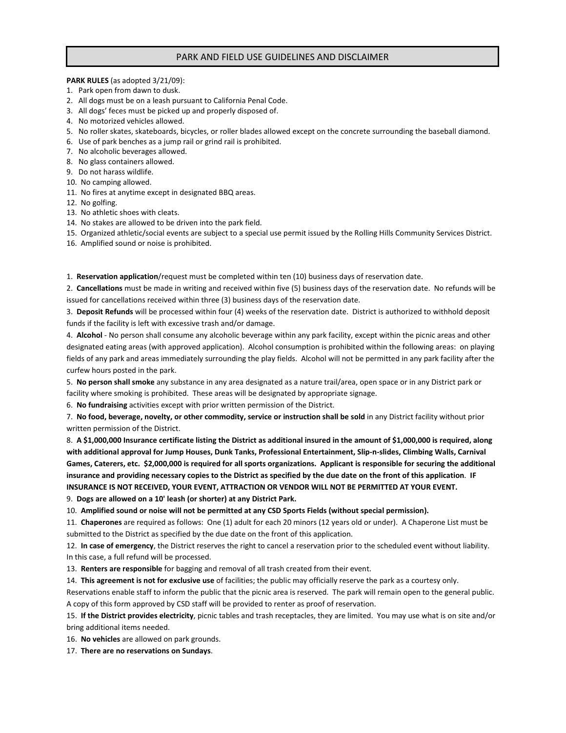### PARK AND FIELD USE GUIDELINES AND DISCLAIMER

#### **PARK RULES** (as adopted 3/21/09):

- 1. Park open from dawn to dusk.
- 2. All dogs must be on a leash pursuant to California Penal Code.
- 3. All dogs' feces must be picked up and properly disposed of.
- 4. No motorized vehicles allowed.
- 5. No roller skates, skateboards, bicycles, or roller blades allowed except on the concrete surrounding the baseball diamond.
- 6. Use of park benches as a jump rail or grind rail is prohibited.
- 7. No alcoholic beverages allowed.
- 8. No glass containers allowed.
- 9. Do not harass wildlife.
- 10. No camping allowed.
- 11. No fires at anytime except in designated BBQ areas.
- 12. No golfing.
- 13. No athletic shoes with cleats.
- 14. No stakes are allowed to be driven into the park field.

15. Organized athletic/social events are subject to a special use permit issued by the Rolling Hills Community Services District.

16. Amplified sound or noise is prohibited.

1. **Reservation application**/request must be completed within ten (10) business days of reservation date.

2. **Cancellations** must be made in writing and received within five (5) business days of the reservation date. No refunds will be issued for cancellations received within three (3) business days of the reservation date.

3. **Deposit Refunds** will be processed within four (4) weeks of the reservation date. District is authorized to withhold deposit funds if the facility is left with excessive trash and/or damage.

4. **Alcohol** - No person shall consume any alcoholic beverage within any park facility, except within the picnic areas and other designated eating areas (with approved application). Alcohol consumption is prohibited within the following areas: on playing fields of any park and areas immediately surrounding the play fields. Alcohol will not be permitted in any park facility after the curfew hours posted in the park.

5. **No person shall smoke** any substance in any area designated as a nature trail/area, open space or in any District park or facility where smoking is prohibited. These areas will be designated by appropriate signage.

6. **No fundraising** activities except with prior written permission of the District.

7. **No food, beverage, novelty, or other commodity, service or instruction shall be sold** in any District facility without prior written permission of the District.

8. **A \$1,000,000 Insurance certificate listing the District as additional insured in the amount of \$1,000,000 is required, along with additional approval for Jump Houses, Dunk Tanks, Professional Entertainment, Slip-n-slides, Climbing Walls, Carnival Games, Caterers, etc. \$2,000,000 is required for all sports organizations. Applicant is responsible for securing the additional insurance and providing necessary copies to the District as specified by the due date on the front of this application**. **IF INSURANCE IS NOT RECEIVED, YOUR EVENT, ATTRACTION OR VENDOR WILL NOT BE PERMITTED AT YOUR EVENT.** 

9. **Dogs are allowed on a 10' leash (or shorter) at any District Park.**

10. **Amplified sound or noise will not be permitted at any CSD Sports Fields (without special permission).**

11. **Chaperones** are required as follows: One (1) adult for each 20 minors (12 years old or under). A Chaperone List must be submitted to the District as specified by the due date on the front of this application.

12. **In case of emergency**, the District reserves the right to cancel a reservation prior to the scheduled event without liability. In this case, a full refund will be processed.

13. **Renters are responsible** for bagging and removal of all trash created from their event.

14. **This agreement is not for exclusive use** of facilities; the public may officially reserve the park as a courtesy only.

Reservations enable staff to inform the public that the picnic area is reserved. The park will remain open to the general public. A copy of this form approved by CSD staff will be provided to renter as proof of reservation.

15. **If the District provides electricity**, picnic tables and trash receptacles, they are limited. You may use what is on site and/or bring additional items needed.

16. **No vehicles** are allowed on park grounds.

17. **There are no reservations on Sundays**.